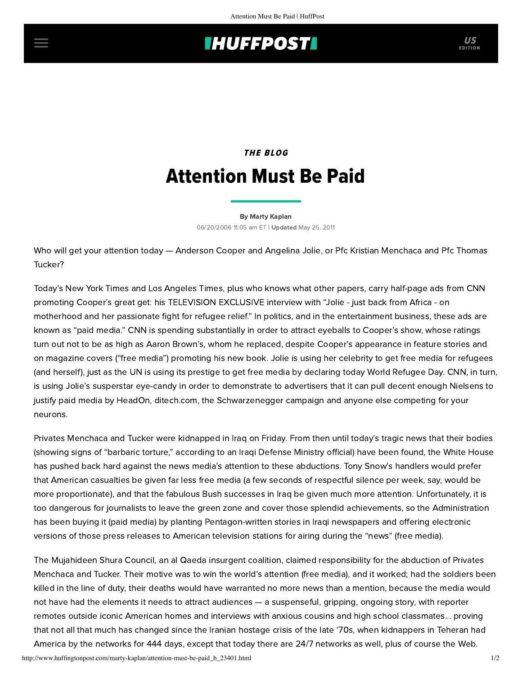## **THUFFPOST**

## THE BLOG Attention Must Be Paid

[By Marty Kaplan](http://www.huffingtonpost.com/author/marty-kaplan) 06/20/2006 11:05 am ET | Updated May 25, 2011

Who will get your attention today — Anderson Cooper and Angelina Jolie, or Pfc Kristian Menchaca and Pfc Thomas Tucker?

Today's New York Times and Los Angeles Times, plus who knows what other papers, carry half-page ads from CNN promoting Cooper's great get: his TELEVISION EXCLUSIVE interview with "Jolie - just back from Africa - on motherhood and her passionate fight for refugee relief." In politics, and in the entertainment business, these ads are known as "paid media." CNN is spending substantially in order to attract eyeballs to Cooper's show, whose ratings turn out not to be as high as Aaron Brown's, whom he replaced, despite Cooper's appearance in feature stories and on magazine covers ("free media") promoting his new book. Jolie is using her celebrity to get free media for refugees (and herself), just as the UN is using its prestige to get free media by declaring today World Refugee Day. CNN, in turn, is using Jolie's susperstar eye-candy in order to demonstrate to advertisers that it can pull decent enough Nielsens to justify paid media by HeadOn, ditech.com, the Schwarzenegger campaign and anyone else competing for your neurons.

Privates Menchaca and Tucker were kidnapped in Iraq on Friday. From then until today's tragic news that their bodies (showing signs of "barbaric torture," according to an Iraqi Defense Ministry official) have been found, the White House has pushed back hard against the news media's attention to these abductions. Tony Snow's handlers would prefer that American casualties be given far less free media (a few seconds of respectful silence per week, say, would be more proportionate), and that the fabulous Bush successes in Iraq be given much more attention. Unfortunately, it is too dangerous for journalists to leave the green zone and cover those splendid achievements, so the Administration has been buying it (paid media) by planting Pentagon-written stories in Iraqi newspapers and offering electronic versions of those press releases to American television stations for airing during the "news" (free media).

The Mujahideen Shura Council, an al Qaeda insurgent coalition, claimed responsibility for the abduction of Privates Menchaca and Tucker. Their motive was to win the world's attention (free media), and it worked; had the soldiers been killed in the line of duty, their deaths would have warranted no more news than a mention, because the media would not have had the elements it needs to attract audiences — a suspenseful, gripping, ongoing story, with reporter remotes outside iconic American homes and interviews with anxious cousins and high school classmates... proving that not all that much has changed since the Iranian hostage crisis of the late '70s, when kidnappers in Teheran had America by the networks for 444 days, except that today there are 24/7 networks as well, plus of course the Web.